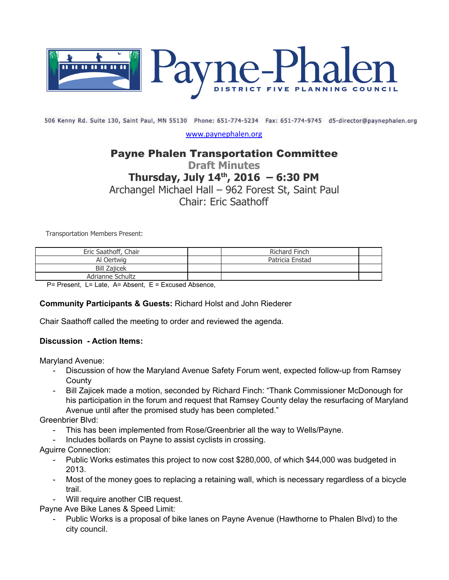

506 Kenny Rd. Suite 130, Saint Paul, MN 55130 Phone: 651-774-5234 Fax: 651-774-9745 d5-director@paynephalen.org

[www.paynephalen.org](http://www.paynephalen.org/)

## Payne Phalen Transportation Committee

# **Draft Minutes Thursday, July 14th, 2016 – 6:30 PM**

Archangel Michael Hall – 962 Forest St, Saint Paul

Chair: Eric Saathoff

Transportation Members Present:

| Eric Saathoff, Chair | <b>Richard Finch</b> |  |
|----------------------|----------------------|--|
| Al Oertwia           | Patricia Enstad      |  |
| <b>Bill Zajicek</b>  |                      |  |
| Adrianne Schultz     |                      |  |

P= Present, L= Late, A= Absent, E = Excused Absence,

#### **Community Participants & Guests:** Richard Holst and John Riederer

Chair Saathoff called the meeting to order and reviewed the agenda.

#### **Discussion Action Items:**

Maryland Avenue:

- Discussion of how the Maryland Avenue Safety Forum went, expected followup from Ramsey **County**
- Bill Zajicek made a motion, seconded by Richard Finch: "Thank Commissioner McDonough for his participation in the forum and request that Ramsey County delay the resurfacing of Maryland Avenue until after the promised study has been completed."

Greenbrier Blvd:

- This has been implemented from Rose/Greenbrier all the way to Wells/Payne.
- Includes bollards on Payne to assist cyclists in crossing.

Aguirre Connection:

- Public Works estimates this project to now cost \$280,000, of which \$44,000 was budgeted in 2013.
- Most of the money goes to replacing a retaining wall, which is necessary regardless of a bicycle trail.
- Will require another CIB request.

Payne Ave Bike Lanes & Speed Limit:

 Public Works is a proposal of bike lanes on Payne Avenue (Hawthorne to Phalen Blvd) to the city council.